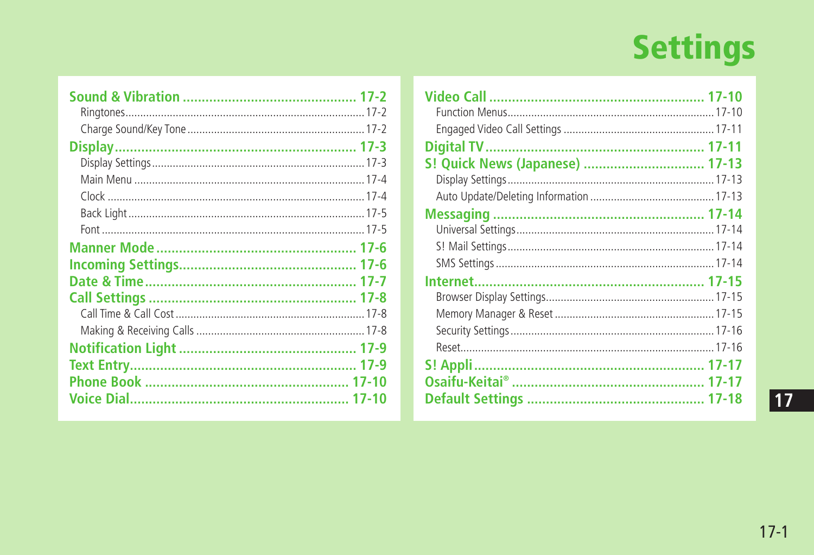# **Settings**

| S! Quick News (Japanese)  17-13 |  |
|---------------------------------|--|
|                                 |  |
|                                 |  |
|                                 |  |
|                                 |  |
|                                 |  |
|                                 |  |
|                                 |  |
|                                 |  |
|                                 |  |
|                                 |  |
|                                 |  |
|                                 |  |
|                                 |  |
|                                 |  |
|                                 |  |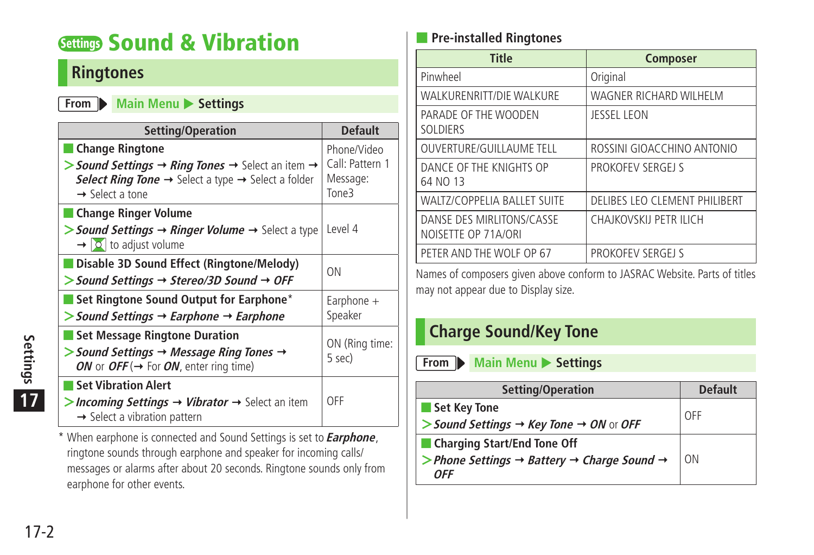# <span id="page-1-0"></span>**Settings Sound & Vibration**

#### **Ringtones**

#### **From Main Menu** Settings

| Setting/Operation                                                                                                                                                                | <b>Default</b>                                      |
|----------------------------------------------------------------------------------------------------------------------------------------------------------------------------------|-----------------------------------------------------|
| Change Ringtone<br>> Sound Settings → Ring Tones → Select an item →<br>Select Ring Tone $\rightarrow$ Select a type $\rightarrow$ Select a folder<br>$\rightarrow$ Select a tone | Phone/Video<br>Call: Pattern 1<br>Message:<br>Tone3 |
| ■ Change Ringer Volume<br>> Sound Settings $\rightarrow$ Ringer Volume $\rightarrow$ Select a type<br>$\rightarrow$ $\circ$ to adjust volume                                     | Level 4                                             |
| Disable 3D Sound Effect (Ringtone/Melody)<br>$>$ Sound Settings $\rightarrow$ Stereo/3D Sound $\rightarrow$ OFF                                                                  | ON                                                  |
| Set Ringtone Sound Output for Earphone*<br>$\triangleright$ Sound Settings $\rightarrow$ Earphone $\rightarrow$ Earphone                                                         | Earphone +<br>Speaker                               |
| <b>Set Message Ringtone Duration</b><br>$>$ Sound Settings $\rightarrow$ Message Ring Tones $\rightarrow$<br>ON or OFF ( $\rightarrow$ For ON, enter ring time)                  | ON (Ring time:<br>5 sec)                            |
| <b>Set Vibration Alert</b><br>>Incoming Settings → Vibrator → Select an item<br>$\rightarrow$ Select a vibration pattern                                                         | OFF                                                 |

\* When earphone is connected and Sound Settings is set to **Earphone**, ringtone sounds through earphone and speaker for incoming calls/ messages or alarms after about 20 seconds. Ringtone sounds only from earphone for other events.

#### ■ **Pre-installed Ringtones**

| <b>Title</b>                                     | <b>Composer</b>               |
|--------------------------------------------------|-------------------------------|
| Pinwheel                                         | Original                      |
| WALKURENRITT/DIE WALKURE                         | WAGNER RICHARD WILHELM        |
| PARADE OF THE WOODEN<br><b>SOLDIERS</b>          | JESSEL LEON                   |
| <b>OUVERTURE/GUILLAUME TELL</b>                  | ROSSINI GIOACCHINO ANTONIO    |
| DANCE OF THE KNIGHTS OP<br>64 NO 13              | PROKOFEV SERGEJ S             |
| <b>WALTZ/COPPELIA BALLET SUITE</b>               | DELIBES LEO CLEMENT PHILIBERT |
| DANSE DES MIRLITONS/CASSE<br>NOISETTE OP 71A/ORI | CHAJKOVSKIJ PETR ILICH        |
| PETER AND THE WOLF OP 67                         | PROKOFEV SERGEJ S             |

Names of composers given above conform to JASRAC Website. Parts of titles may not appear due to Display size.

#### **Charge Sound/Key Tone**

**From Main Menu** Settings

| Setting/Operation                                                               | <b>Default</b> |
|---------------------------------------------------------------------------------|----------------|
| Set Key Tone                                                                    | OFF            |
| $>$ Sound Settings $\rightarrow$ Key Tone $\rightarrow$ ON or OFF               |                |
| ■ Charging Start/End Tone Off                                                   |                |
| > Phone Settings $\rightarrow$ Battery $\rightarrow$ Charge Sound $\rightarrow$ | <b>ON</b>      |
| <b>OFF</b>                                                                      |                |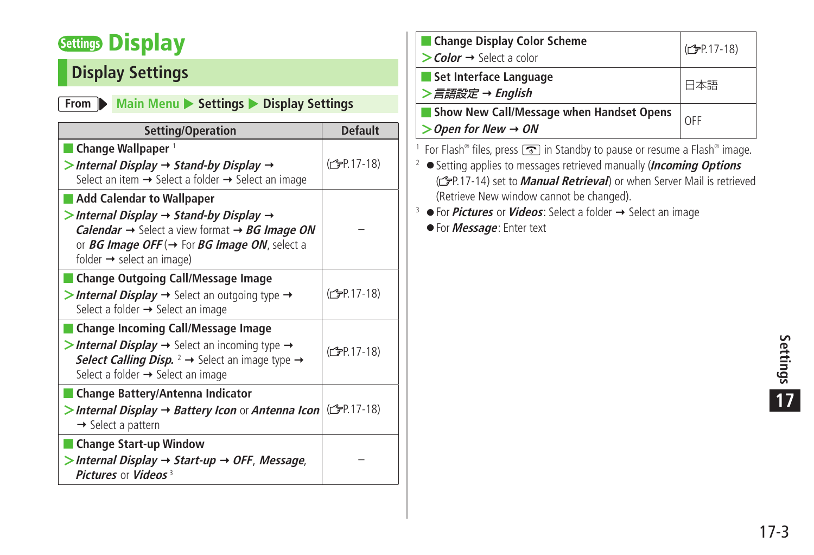# <span id="page-2-0"></span>**Settings Display**

## **Display Settings**

#### **From Main Menu** > Settings > Display Settings

| Setting/Operation                                                                                                                                                                                                                                                                                                 | <b>Default</b>           |
|-------------------------------------------------------------------------------------------------------------------------------------------------------------------------------------------------------------------------------------------------------------------------------------------------------------------|--------------------------|
| $\blacksquare$ Change Wallpaper $^1$<br>$>$ Internal Display $\rightarrow$ Stand-by Display $\rightarrow$<br>Select an item $\rightarrow$ Select a folder $\rightarrow$ Select an image                                                                                                                           | (C <sub>T</sub> P.17-18) |
| <b>Add Calendar to Wallpaper</b><br>$>$ Internal Display $\rightarrow$ Stand-by Display $\rightarrow$<br><b>Calendar</b> $\rightarrow$ Select a view format $\rightarrow BG$ <b>Image ON</b><br>or <i>BG Image OFF</i> ( $\rightarrow$ For <i>BG Image ON</i> , select a<br>folder $\rightarrow$ select an image) |                          |
| <b>Change Outgoing Call/Message Image</b><br>> Internal Display $\rightarrow$ Select an outgoing type $\rightarrow$<br>Select a folder → Select an image                                                                                                                                                          | (C <sub>F</sub> P.17-18) |
| <b>Change Incoming Call/Message Image</b><br>> Internal Display $\rightarrow$ Select an incoming type $\rightarrow$<br>Select Calling Disp. $2 \rightarrow$ Select an image type $\rightarrow$<br>Select a folder $\rightarrow$ Select an image                                                                   | (C <sub>T</sub> P.17-18) |
| Change Battery/Antenna Indicator<br>> Internal Display → Battery Icon or Antenna Icon (C <sub>P.17-18)</sub><br>$\rightarrow$ Select a pattern                                                                                                                                                                    |                          |
| <b>Change Start-up Window</b><br>$>$ Internal Display $\rightarrow$ Start-up $\rightarrow$ OFF, Message,<br>Pictures or Videos <sup>3</sup>                                                                                                                                                                       |                          |

| Change Display Color Scheme<br>$\gt$ Color $\rightarrow$ Select a color         | (C <sub>F</sub> P.17-18) |
|---------------------------------------------------------------------------------|--------------------------|
| Set Interface Language<br>>言語設定 → English                                       | 本語                       |
| Show New Call/Message when Handset Opens<br>$\gt$ Open for New $\rightarrow$ ON | OFF                      |
|                                                                                 |                          |

1 For Flash® files, press so in Standby to pause or resume a Flash® image.

- <sup>2</sup> Setting applies to messages retrieved manually (**Incoming Options**  (**FP.17-14**) set to **Manual Retrieval**) or when Server Mail is retrieved (Retrieve New window cannot be changed).
- <sup>3</sup> For *Pictures* or *Videos*: Select a folder → Select an image
	- For **Message**: Enter text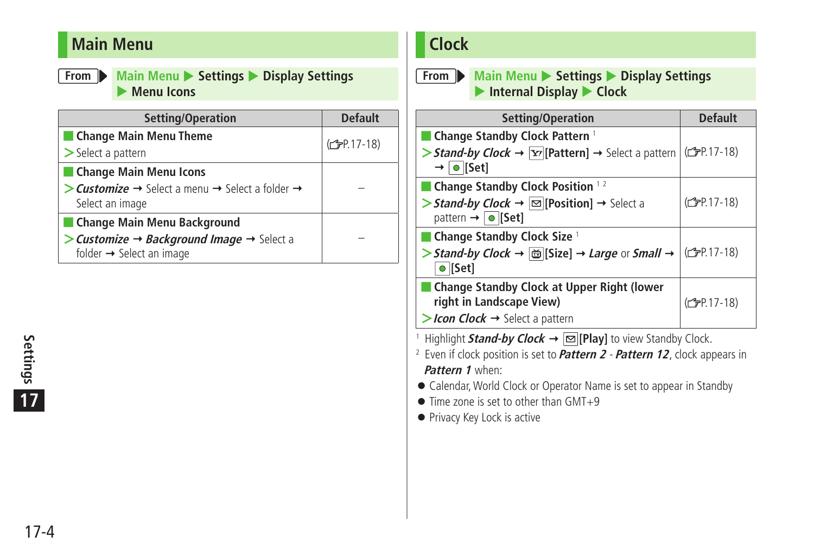#### <span id="page-3-0"></span>**Main Menu**

**From Main Menu** > Settings > Display Settings **Menu Icons** 

| Setting/Operation                                                                   | <b>Default</b>            |
|-------------------------------------------------------------------------------------|---------------------------|
| Change Main Menu Theme                                                              | (C <sub>FP</sub> P.17-18) |
| $\geq$ Select a pattern                                                             |                           |
| Change Main Menu Icons                                                              |                           |
| > Customize $\rightarrow$ Select a menu $\rightarrow$ Select a folder $\rightarrow$ |                           |
| Select an image                                                                     |                           |
| Change Main Menu Background                                                         |                           |
| > Customize $\rightarrow$ Background Image $\rightarrow$ Select a                   |                           |
| folder → Select an image                                                            |                           |

# 17-4 **Settings 17**

#### **Clock**

**From Main Menu** > Settings > Display Settings ▶ Internal Display ▶ Clock

| Setting/Operation                                                                                                                | <b>Default</b>            |
|----------------------------------------------------------------------------------------------------------------------------------|---------------------------|
| ■ Change Standby Clock Pattern <sup>1</sup>                                                                                      |                           |
| > Stand-by Clock $\rightarrow \boxed{Y}$ [Pattern] $\rightarrow$ Select a pattern<br>$\rightarrow$ 0 [Set]                       | ( <del>C</del> ) P.17-18) |
| ■ Change Standby Clock Position $12$                                                                                             |                           |
| > Stand-by Clock $\rightarrow \boxed{\simeq}$ [Position] $\rightarrow$ Select a<br>pattern $\rightarrow$ $\boxed{\bullet}$ [Set] | (C <sub>F</sub> P.17-18)  |
| $\blacksquare$ Change Standby Clock Size $\perp$                                                                                 |                           |
| > Stand-by Clock → $\ddot{\text{ } }$ [Size] → Large or Small →<br>$\bullet$ [Set]                                               | ( <del>f</del> P.17-18)   |
| ■ Change Standby Clock at Upper Right (lower<br>right in Landscape View)                                                         | (C <sub>F</sub> P.17-18)  |
| > Icon Clock $\rightarrow$ Select a pattern                                                                                      |                           |
|                                                                                                                                  |                           |

<sup>1</sup> Highlight **Stand-by Clock → |∞ [Play]** to view Standby Clock.

2 Even if clock position is set to **Pattern 2** - **Pattern 12**, clock appears in **Pattern 1** when:

● Calendar, World Clock or Operator Name is set to appear in Standby

- Time zone is set to other than GMT+9
- Privacy Key Lock is active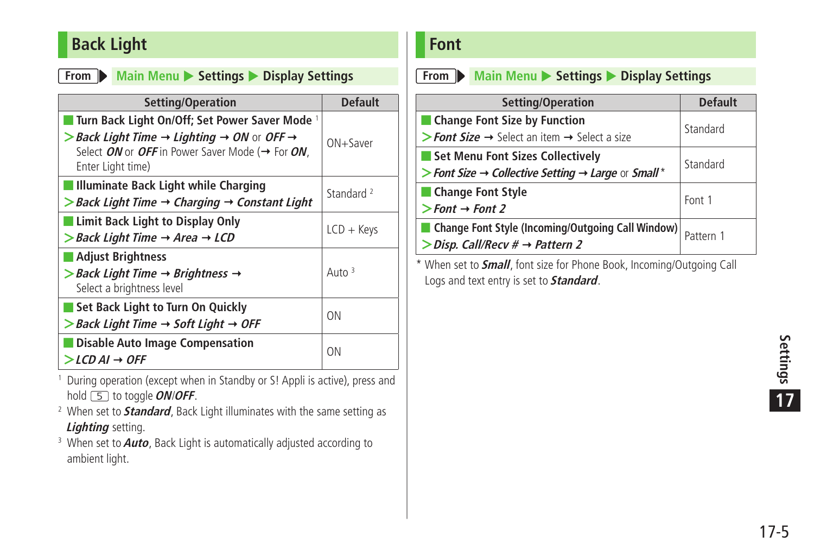#### <span id="page-4-0"></span>**Back Light**

#### **From Main Menu** > Settings > Display Settings

| Setting/Operation                                                                                                                                                                                                       | <b>Default</b>        |
|-------------------------------------------------------------------------------------------------------------------------------------------------------------------------------------------------------------------------|-----------------------|
| ■ Turn Back Light On/Off; Set Power Saver Mode 1<br>> Back Light Time $\rightarrow$ Lighting $\rightarrow$ ON or OFF $\rightarrow$<br>Select ON or OFF in Power Saver Mode ( $\rightarrow$ For ON.<br>Enter Light time) | $ON +$ Saver          |
| Illuminate Back Light while Charging<br>$\triangleright$ Back Light Time $\rightarrow$ Charging $\rightarrow$ Constant Light                                                                                            | Standard <sup>2</sup> |
| ■ Limit Back Light to Display Only<br>$>$ Back Light Time $\rightarrow$ Area $\rightarrow$ LCD                                                                                                                          | $LCD + Keys$          |
| <b>Adjust Brightness</b><br>$>$ Back Light Time $\rightarrow$ Brightness $\rightarrow$<br>Select a brightness level                                                                                                     | Auto $3$              |
| Set Back Light to Turn On Quickly<br>$>$ Back Light Time $\rightarrow$ Soft Light $\rightarrow$ OFF                                                                                                                     | <b>ON</b>             |
| Disable Auto Image Compensation<br>$>LCD$ AI $\rightarrow$ OFF                                                                                                                                                          | <b>ON</b>             |

1 During operation (except when in Standby or S! Appli is active), press and hold  $\boxed{5}$  to toggle *ON*/*OFF*.

2 When set to **Standard**, Back Light illuminates with the same setting as **Lighting** setting.

3 When set to **Auto**, Back Light is automatically adjusted according to ambient light.

#### **Font**

**From Main Menu > Settings > Display Settings** 

| Setting/Operation                                                          | <b>Default</b> |
|----------------------------------------------------------------------------|----------------|
| ■ Change Font Size by Function                                             | Standard       |
| > Font Size $\rightarrow$ Select an item $\rightarrow$ Select a size       |                |
| Set Menu Font Sizes Collectively                                           | Standard       |
| > Font Size $\rightarrow$ Collective Setting $\rightarrow$ Large or Small* |                |
| Change Font Style                                                          | Font 1         |
| $\triangleright$ Font $\rightarrow$ Font 2                                 |                |
| Change Font Style (Incoming/Outgoing Call Window)                          | Pattern 1      |
| $\triangleright$ Disp. Call/Recv # $\rightarrow$ Pattern 2                 |                |
|                                                                            |                |

\* When set to **Small**, font size for Phone Book, Incoming/Outgoing Call Logs and text entry is set to **Standard**.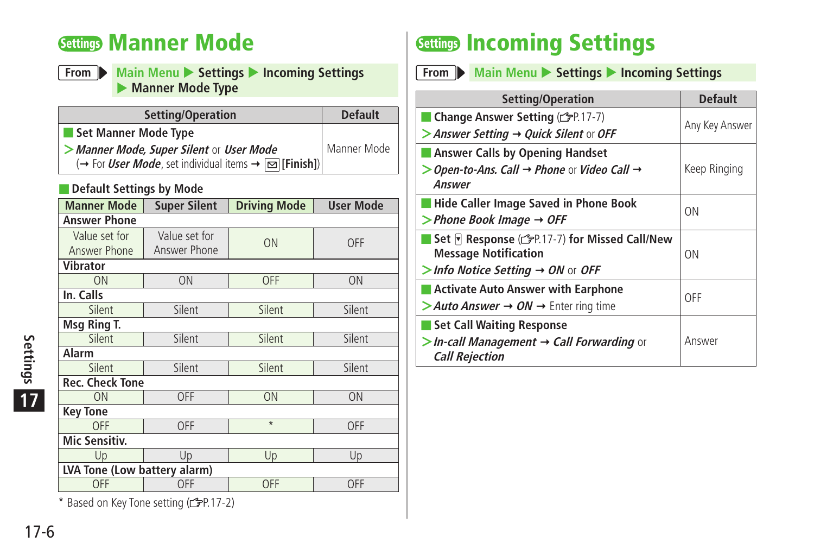## <span id="page-5-0"></span>**Settings Manner Mode**

**From Main Menu**  $\triangleright$  **Settings**  $\triangleright$  **Incoming Settings Manner Mode Type** 

| Setting/Operation                                                                                | <b>Default</b> |
|--------------------------------------------------------------------------------------------------|----------------|
| Set Manner Mode Type                                                                             |                |
| > Manner Mode, Super Silent or User Mode                                                         | Manner Mode    |
| $\rightarrow$ For <i>User Mode</i> , set individual items $\rightarrow \boxed{\infty}$ [Finish]) |                |

#### ■ **Default Settings by Mode**

| <b>Manner Mode</b>            | <b>Super Silent</b>           | <b>Driving Mode</b> | <b>User Mode</b> |  |
|-------------------------------|-------------------------------|---------------------|------------------|--|
| Answer Phone                  |                               |                     |                  |  |
| Value set for<br>Answer Phone | Value set for<br>Answer Phone | ON                  | <b>OFF</b>       |  |
| Vibrator                      |                               |                     |                  |  |
| ON                            | ON                            | <b>OFF</b>          | ON               |  |
| In. Calls                     |                               |                     |                  |  |
| Silent                        | Silent                        | Silent              | Silent           |  |
| Msg Ring T.                   |                               |                     |                  |  |
| Silent                        | Silent                        | Silent              | Silent           |  |
| Alarm                         |                               |                     |                  |  |
| Silent                        | Silent                        | Silent              | Silent           |  |
| <b>Rec. Check Tone</b>        |                               |                     |                  |  |
| ON                            | OFF                           | ON                  | ON               |  |
| <b>Key Tone</b>               |                               |                     |                  |  |
| OFF                           | OFF                           | $\overline{\ast}$   | OFF              |  |
| <b>Mic Sensitiv.</b>          |                               |                     |                  |  |
| Up                            | Up                            | Up                  | Up               |  |
| LVA Tone (Low battery alarm)  |                               |                     |                  |  |
| <b>OFF</b>                    | OFF                           | <b>OFF</b>          | OFF              |  |

 $*$  Based on Key Tone setting ( $\mathbb{Z}$ P.17-2)

# **Settings Incoming Settings**

**From Main Menu** > Settings > Incoming Settings

| Setting/Operation                                                 | <b>Default</b> |  |
|-------------------------------------------------------------------|----------------|--|
| Change Answer Setting (rep. 17-7)                                 |                |  |
| > Answer Setting > Quick Silent or OFF                            | Any Key Answer |  |
| <b>Answer Calls by Opening Handset</b>                            |                |  |
| Open-to-Ans. Call $\rightarrow$ Phone or Video Call $\rightarrow$ | Keep Ringing   |  |
| Answer                                                            |                |  |
| <b>Hide Caller Image Saved in Phone Book</b>                      | <b>ON</b>      |  |
| $>$ Phone Book Image $\rightarrow$ OFF                            |                |  |
| Set <b>Response</b> (FP.17-7) for Missed Call/New                 |                |  |
| <b>Message Notification</b>                                       | ON             |  |
| Info Notice Setting $\rightarrow$ ON or OFF                       |                |  |
| <b>Activate Auto Answer with Earphone</b>                         | OFF            |  |
| > Auto Answer $\rightarrow$ ON $\rightarrow$ Enter ring time      |                |  |
| <b>Set Call Waiting Response</b>                                  |                |  |
| $>$ In-call Management $\rightarrow$ Call Forwarding or           | Answer         |  |
| <b>Call Rejection</b>                                             |                |  |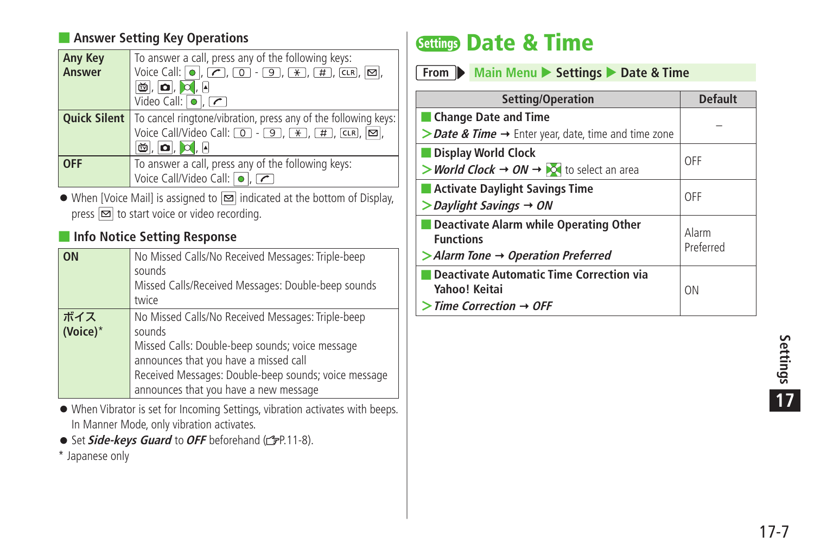#### <span id="page-6-0"></span>■ **Answer Setting Key Operations**

| <b>Any Key</b> | To answer a call, press any of the following keys:                                                                                         |
|----------------|--------------------------------------------------------------------------------------------------------------------------------------------|
| Answer         | Voice Call: $\boxed{\bullet}$ , $\boxed{\bullet}$ , $\boxed{0}$ - $\boxed{9}$ , $\boxed{\ast}$ , $\boxed{\#}$ , CLR, $\boxed{\boxtimes}$ , |
|                | $\omega$ , $\Omega$ , $\Omega$ , $\theta$                                                                                                  |
|                | Video Call: $\boxed{\bullet}$ , $\boxed{\frown}$                                                                                           |
|                | <b>Quick Silent</b>   To cancel ringtone/vibration, press any of the following keys:                                                       |
|                | Voice Call/Video Call: $\boxed{0}$ - $\boxed{9}$ , $\boxed{\ast}$ , $\boxed{\sharp}$ , CLR, $\boxed{\infty}$ ,                             |
|                | $ \mathbf{\tilde{\omega}} $ , $ \mathbf{\alpha} $ , $ \mathbf{\alpha} $ , $ \mathbf{A} $                                                   |
| <b>OFF</b>     | To answer a call, press any of the following keys:                                                                                         |
|                | Voice Call/Video Call: 0, 7                                                                                                                |

 $\bullet$  When [Voice Mail] is assigned to  $\boxed{\infty}$  indicated at the bottom of Display, press  $\boxed{\infty}$  to start voice or video recording.

#### ■ **Info Notice Setting Response**

| ON              | No Missed Calls/No Received Messages: Triple-beep<br>sounds<br>Missed Calls/Received Messages: Double-beep sounds<br>twice                                                                                                                               |
|-----------------|----------------------------------------------------------------------------------------------------------------------------------------------------------------------------------------------------------------------------------------------------------|
| ボイス<br>(Voice)* | No Missed Calls/No Received Messages: Triple-beep<br>sounds<br>Missed Calls: Double-beep sounds; voice message<br>announces that you have a missed call<br>Received Messages: Double-beep sounds; voice message<br>announces that you have a new message |

- When Vibrator is set for Incoming Settings, vibration activates with beeps. In Manner Mode, only vibration activates.
- **•** Set *Side-keys Guard* to OFF beforehand ( $\mathbb{F}P.11-8$ ).
- \* Japanese only

# **Settings Date & Time**

| From Main Menu > Settings > Date & Time |
|-----------------------------------------|
|                                         |

| Setting/Operation                                                            | <b>Default</b>     |
|------------------------------------------------------------------------------|--------------------|
| <b>Change Date and Time</b>                                                  |                    |
| > Date & Time $\rightarrow$ Enter year, date, time and time zone             |                    |
| <b>Display World Clock</b>                                                   | OFF                |
| > World Clock $\rightarrow$ ON $\rightarrow$ $\rightarrow$ to select an area |                    |
| <b>Activate Daylight Savings Time</b>                                        | OFF                |
| $>$ Daylight Savings $\rightarrow$ ON                                        |                    |
| Deactivate Alarm while Operating Other<br><b>Functions</b>                   | Alarm<br>Preferred |
| $>$ Alarm Tone $\rightarrow$ Operation Preferred                             |                    |
| <b>Deactivate Automatic Time Correction via</b><br>Yahoo! Keitai             | <b>ON</b>          |
| $>$ Time Correction $\rightarrow$ OFF                                        |                    |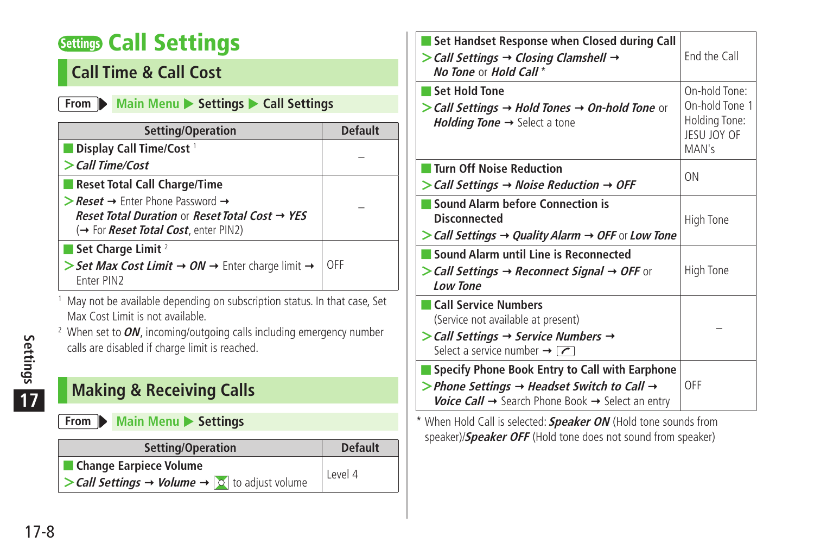# <span id="page-7-0"></span>**Settings Call Settings**

#### **Call Time & Call Cost**

#### **From Main Menu**  $\triangleright$  **Settings**  $\triangleright$  **Call Settings**

| Setting/Operation                                                                                          | <b>Default</b> |
|------------------------------------------------------------------------------------------------------------|----------------|
| Display Call Time/Cost <sup>1</sup>                                                                        |                |
| $>$ Call Time/Cost                                                                                         |                |
| Reset Total Call Charge/Time                                                                               |                |
| $\triangleright$ Reset $\rightarrow$ Enter Phone Password $\rightarrow$                                    |                |
| Reset Total Duration or Reset Total Cost → YES<br>(→ For <i>Reset Total Cost</i> , enter PIN2)             |                |
| Set Charge Limit $^2$                                                                                      |                |
| Set Max Cost Limit $\rightarrow ON \rightarrow$ Enter charge limit $\rightarrow$<br>Fnter PIN <sub>2</sub> | OFF            |

1 May not be available depending on subscription status. In that case, Set Max Cost Limit is not available.

2 When set to **ON**, incoming/outgoing calls including emergency number calls are disabled if charge limit is reached.

#### **Making & Receiving Calls**

**From Main Menu** Settings

| Setting/Operation                                                                                   | <b>Default</b> |
|-----------------------------------------------------------------------------------------------------|----------------|
| <b>Change Earpiece Volume</b>                                                                       | Level 4        |
| $\triangleright$ Call Settings $\rightarrow$ Volume $\rightarrow$ $\triangleright$ to adjust volume |                |

| Set Handset Response when Closed during Call<br>$\triangleright$ Call Settings $\rightarrow$ Closing Clamshell $\rightarrow$<br>No Tone or Hold Call*                                                               | End the Call                                                             |
|---------------------------------------------------------------------------------------------------------------------------------------------------------------------------------------------------------------------|--------------------------------------------------------------------------|
| ■ Set Hold Tone<br>> Call Settings $\rightarrow$ Hold Tones $\rightarrow$ On-hold Tone or<br><i>Holding Tone</i> $\rightarrow$ Select a tone                                                                        | On-hold Tone:<br>On-hold Tone 1<br>Holding Tone:<br>JESU JOY OF<br>MAN's |
| <b>Turn Off Noise Reduction</b><br>$\triangleright$ Call Settings $\rightarrow$ Noise Reduction $\rightarrow$ OFF                                                                                                   | <b>ON</b>                                                                |
| ■ Sound Alarm before Connection is<br>Disconnected<br>$>$ Call Settings $\rightarrow$ Quality Alarm $\rightarrow$ OFF or Low Tone                                                                                   | High Tone                                                                |
| Sound Alarm until Line is Reconnected<br>> Call Settings → Reconnect Signal → OFF or<br><b>Low Tone</b>                                                                                                             | High Tone                                                                |
| <b>Call Service Numbers</b><br>(Service not available at present)<br>$\triangleright$ Call Settings $\rightarrow$ Service Numbers $\rightarrow$<br>Select a service number $\rightarrow \boxed{\frown}$             |                                                                          |
| Specify Phone Book Entry to Call with Earphone<br>> Phone Settings $\rightarrow$ Headset Switch to Call $\rightarrow$<br><b>Voice Call <math>\rightarrow</math></b> Search Phone Book $\rightarrow$ Select an entry | OFF                                                                      |

\* When Hold Call is selected: **Speaker ON** (Hold tone sounds from speaker)/**Speaker OFF** (Hold tone does not sound from speaker)

17-8 **Settings 17**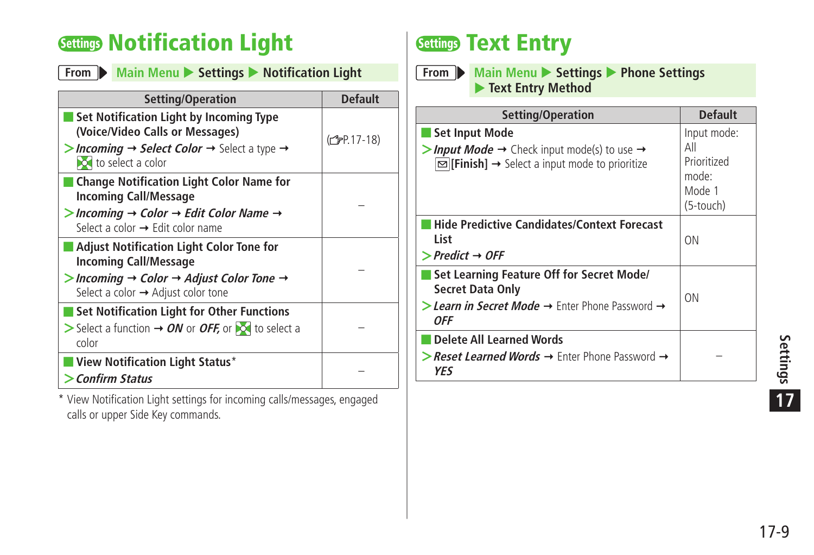# <span id="page-8-0"></span>**Settings Notification Light**

|  | From Main Menu Settings |  | $\blacktriangleright$ Notification Light |
|--|-------------------------|--|------------------------------------------|
|--|-------------------------|--|------------------------------------------|

| Setting/Operation                                                                                                               | <b>Default</b>           |
|---------------------------------------------------------------------------------------------------------------------------------|--------------------------|
| Set Notification Light by Incoming Type<br>(Voice/Video Calls or Messages)                                                      | (C <sub>F</sub> P.17-18) |
| <b>Incoming <math>\rightarrow</math> Select Color <math>\rightarrow</math></b> Select a type $\rightarrow$<br>io select a color |                          |
| <b>Change Notification Light Color Name for</b><br><b>Incoming Call/Message</b>                                                 |                          |
| > Incoming $\rightarrow$ Color $\rightarrow$ Edit Color Name $\rightarrow$<br>Select a color $\rightarrow$ Edit color name      |                          |
| <b>Adjust Notification Light Color Tone for</b><br><b>Incoming Call/Message</b>                                                 |                          |
| > Incoming $\rightarrow$ Color $\rightarrow$ Adjust Color Tone $\rightarrow$<br>Select a color $\rightarrow$ Adjust color tone  |                          |
| <b>Set Notification Light for Other Functions</b>                                                                               |                          |
| $>$ Select a function $\rightarrow$ ON or OFF, or $\sim$ to select a<br>color                                                   |                          |
| <b>View Notification Light Status*</b>                                                                                          |                          |
| Confirm Status                                                                                                                  |                          |

\* View Notification Light settings for incoming calls/messages, engaged calls or upper Side Key commands.

# **Settings Text Entry**

**From Main Menu**  $\triangleright$  **Settings**  $\triangleright$  **Phone Settings Text Entry Method** 

| Setting/Operation                                                                                                                                                        | <b>Default</b>                                                    |
|--------------------------------------------------------------------------------------------------------------------------------------------------------------------------|-------------------------------------------------------------------|
| Set Input Mode<br>> Input Mode $\rightarrow$ Check input mode(s) to use $\rightarrow$<br>$\boxed{\blacksquare}$ [Finish] $\rightarrow$ Select a input mode to prioritize | Input mode:<br>Αll<br>Prioritized<br>mode:<br>Mode 1<br>(5-touch) |
| Hide Predictive Candidates/Context Forecast<br>List<br>$\triangleright$ Predict $\rightarrow$ OFF                                                                        | ΟN                                                                |
| Set Learning Feature Off for Secret Mode/<br><b>Secret Data Only</b><br>> Learn in Secret Mode $\rightarrow$ Enter Phone Password $\rightarrow$<br>0FF                   | ON                                                                |
| Delete All Learned Words<br><b>&gt; Reset Learned Words <math>\rightarrow</math> Enter Phone Password <math>\rightarrow</math></b><br>YFS                                |                                                                   |

17-9**Settings 17**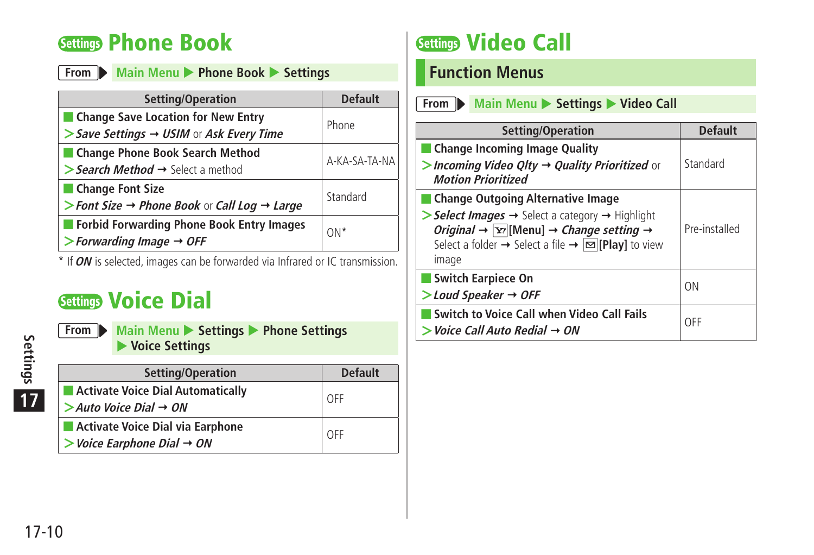# <span id="page-9-0"></span>**Settings Phone Book**

| From Main Menu > Phone Book > Settings                                                                    |                |
|-----------------------------------------------------------------------------------------------------------|----------------|
| Setting/Operation                                                                                         | <b>Default</b> |
| Change Save Location for New Entry<br>$\triangleright$ Save Settings $\rightarrow$ USIM or Ask Every Time | Phone          |
| Change Phone Book Search Method<br>> Search Method $\rightarrow$ Select a method                          | A-KA-SA-TA-NA  |
| Change Font Size<br>> Font Size $\rightarrow$ Phone Book or Call Log $\rightarrow$ Large                  | Standard       |
| Forbid Forwarding Phone Book Entry Images<br>$\triangleright$ Forwarding Image $\rightarrow$ OFF          | $ON*$          |

\* If **ON** is selected, images can be forwarded via Infrared or IC transmission.

# **Settings Voice Dial**

settings<br>
17<br>
17-10<br>
17-10 **17**

| From Main Menu Settings Phone Settings<br>$\blacktriangleright$ Voice Settings |  |  |
|--------------------------------------------------------------------------------|--|--|
|                                                                                |  |  |
|                                                                                |  |  |

| Setting/Operation                                     | <b>Default</b> |
|-------------------------------------------------------|----------------|
| Activate Voice Dial Automatically<br>ш                | l off          |
| $>$ Auto Voice Dial $\rightarrow$ ON                  |                |
| Activate Voice Dial via Earphone                      | l OFF          |
| $\triangleright$ Voice Earphone Dial $\rightarrow$ ON |                |

# **Settings Video Call**

#### **Function Menus**

| From Main Menu Settings Video Call                                                                                                                                                                                                                                                                                          |                |
|-----------------------------------------------------------------------------------------------------------------------------------------------------------------------------------------------------------------------------------------------------------------------------------------------------------------------------|----------------|
| Setting/Operation                                                                                                                                                                                                                                                                                                           | <b>Default</b> |
| Change Incoming Image Quality<br>> Incoming Video Qlty $\rightarrow$ Quality Prioritized or<br><b>Motion Prioritized</b>                                                                                                                                                                                                    | Standard       |
| ■ Change Outgoing Alternative Image<br>Select Images $\rightarrow$ Select a category $\rightarrow$ Highlight<br><i>Original</i> $\rightarrow \boxed{\text{Y}}$ [Menu] $\rightarrow$ <i>Change setting</i> $\rightarrow$<br>Select a folder $\rightarrow$ Select a file $\rightarrow \boxed{\infty}$ [Play] to view<br>image | Pre-installed  |
| Switch Earpiece On<br>$>$ Loud Speaker $\rightarrow$ OFF                                                                                                                                                                                                                                                                    | ΩN             |
| Switch to Voice Call when Video Call Fails<br>$>$ Voice Call Auto Redial $\rightarrow$ ON                                                                                                                                                                                                                                   | OFF            |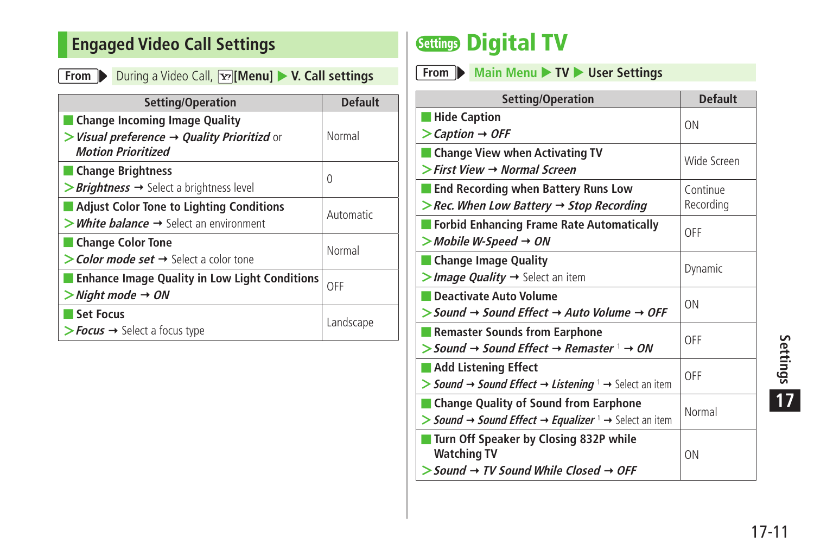#### <span id="page-10-0"></span>**Engaged Video Call Settings**

**From** During a Video Call, **[Menu] V. Call settings** 

| Setting/Operation                                            | <b>Default</b> |
|--------------------------------------------------------------|----------------|
| <b>Change Incoming Image Quality</b>                         |                |
| $>$ Visual preference $\rightarrow$ Quality Prioritizd or    | Normal         |
| <b>Motion Prioritized</b>                                    |                |
| <b>Change Brightness</b>                                     |                |
| <b>Brightness</b> $\rightarrow$ Select a brightness level    | 0              |
| <b>Adjust Color Tone to Lighting Conditions</b>              | Automatic      |
| $>$ <i>White balance</i> $\rightarrow$ Select an environment |                |
| Change Color Tone                                            | Normal         |
| $\gt$ Color mode set $\rightarrow$ Select a color tone       |                |
| <b>Enhance Image Quality in Low Light Conditions</b>         | OFF            |
| $>$ Night mode $\rightarrow$ ON                              |                |
| <b>Set Focus</b>                                             | Landscape      |
| $\triangleright$ Focus $\rightarrow$ Select a focus type     |                |

# **Settings Digital TV**

**From Main Menu**  $\triangleright$  **TV**  $\triangleright$  User Settings

| Setting/Operation                                                                                                                 | <b>Default</b>        |
|-----------------------------------------------------------------------------------------------------------------------------------|-----------------------|
| <b>Hide Caption</b><br>$\gt$ Caption $\rightarrow$ OFF                                                                            | 0 <sub>N</sub>        |
| ■ Change View when Activating TV<br>$\triangleright$ First View $\rightarrow$ Normal Screen                                       | Wide Screen           |
| <b>End Recording when Battery Runs Low</b><br>$\triangleright$ Rec. When Low Battery $\rightarrow$ Stop Recording                 | Continue<br>Recording |
| Forbid Enhancing Frame Rate Automatically<br>$>$ Mobile W-Speed $\rightarrow$ ON                                                  | OFF                   |
| Change Image Quality<br>>Image Quality $\rightarrow$ Select an item                                                               | Dynamic               |
| Deactivate Auto Volume<br>$>$ Sound $\rightarrow$ Sound Effect $\rightarrow$ Auto Volume $\rightarrow$ OFF                        | ON                    |
| Remaster Sounds from Earphone<br>$>$ Sound $\rightarrow$ Sound Effect $\rightarrow$ Remaster $\rightarrow$ ON                     | OFF                   |
| ■ Add Listening Effect<br>> Sound $\rightarrow$ Sound Effect $\rightarrow$ Listening $\rightarrow$ Select an item                 | OFF                   |
| Change Quality of Sound from Earphone<br>> Sound $\rightarrow$ Sound Effect $\rightarrow$ Equalizer $\rightarrow$ Select an item  | Normal                |
| ■ Turn Off Speaker by Closing 832P while<br><b>Watching TV</b><br>$>$ Sound $\rightarrow$ TV Sound While Closed $\rightarrow$ OFF | 0 <sub>N</sub>        |

|<br>| 17-11<br>|<br>| 17-11<br>| **17**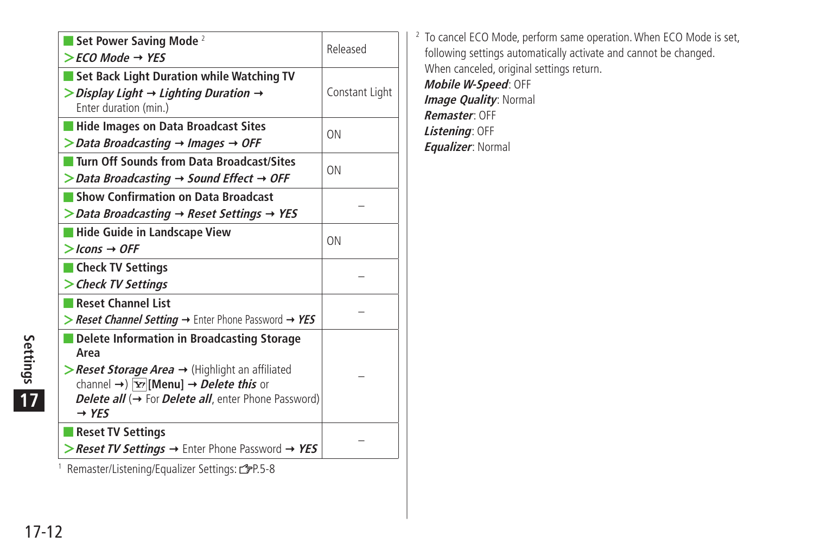| Set Power Saving Mode <sup>2</sup>                                                                                                                                                                                                               | Released       |
|--------------------------------------------------------------------------------------------------------------------------------------------------------------------------------------------------------------------------------------------------|----------------|
| $>$ FCO Mode $\rightarrow$ YES                                                                                                                                                                                                                   |                |
| Set Back Light Duration while Watching TV                                                                                                                                                                                                        |                |
| $\triangleright$ Display Light $\rightarrow$ Lighting Duration $\rightarrow$<br>Enter duration (min.)                                                                                                                                            | Constant Light |
| <b>Hide Images on Data Broadcast Sites</b>                                                                                                                                                                                                       | ON             |
| $\triangleright$ Data Broadcasting $\rightarrow$ Images $\rightarrow$ OFF                                                                                                                                                                        |                |
| Turn Off Sounds from Data Broadcast/Sites                                                                                                                                                                                                        | ON             |
| $\triangleright$ Data Broadcasting $\rightarrow$ Sound Effect $\rightarrow$ OFF                                                                                                                                                                  |                |
| Show Confirmation on Data Broadcast                                                                                                                                                                                                              |                |
| $\triangleright$ Data Broadcasting $\rightarrow$ Reset Settings $\rightarrow$ YES                                                                                                                                                                |                |
| Hide Guide in Landscape View                                                                                                                                                                                                                     | ON             |
| $>$ Icons $\rightarrow$ OFF                                                                                                                                                                                                                      |                |
| Check TV Settings                                                                                                                                                                                                                                |                |
| > Check TV Settings                                                                                                                                                                                                                              |                |
| <b>Reset Channel List</b>                                                                                                                                                                                                                        |                |
| > Reset Channel Setting $\rightarrow$ Enter Phone Password $\rightarrow$ YES                                                                                                                                                                     |                |
| Delete Information in Broadcasting Storage<br>Area                                                                                                                                                                                               |                |
| $\triangleright$ <b>Reset Storage Area</b> $\rightarrow$ (Highlight an affiliated<br>channel $\rightarrow$ $\overline{Y}$ [Menu] $\rightarrow$ <i>Delete this</i> or<br>Delete all (→ For Delete all, enter Phone Password)<br>$\rightarrow$ YES |                |
| <b>Reset TV Settings</b>                                                                                                                                                                                                                         |                |
| > Reset TV Settings $\rightarrow$ Enter Phone Password $\rightarrow$ YES                                                                                                                                                                         |                |
| <sup>1</sup> Remaster/Listening/Equalizer Settings: 3P.5-8                                                                                                                                                                                       |                |

2 To cancel ECO Mode, perform same operation. When ECO Mode is set, following settings automatically activate and cannot be changed. When canceled, original settings return. **Mobile W-Speed**: OFF **Image Quality: Normal Remaster**: OFF **Listening**: OFF **Equalizer**: Normal

**17**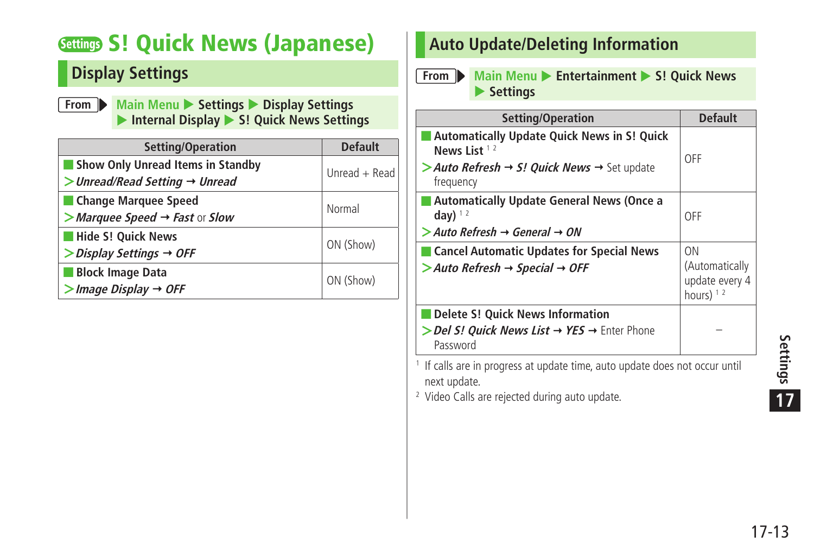# <span id="page-12-0"></span>**Settings S! Quick News (Japanese)**

#### **Display Settings**

**From Main Menu** > **Settings > Display Settings** ▶ Internal Display ▶ S! Quick News Settings

| <b>Setting/Operation</b>                                                                 | <b>Default</b>  |
|------------------------------------------------------------------------------------------|-----------------|
| <b>Show Only Unread Items in Standby</b><br>$>$ Unread/Read Setting $\rightarrow$ Unread | Unread $+$ Read |
| <b>Change Marquee Speed</b><br>$>$ Marquee Speed $\rightarrow$ Fast or Slow              | Normal          |
| <b>Hide S! Quick News</b><br>$\triangleright$ Display Settings $\rightarrow$ OFF         | ON (Show)       |
| <b>Block Image Data</b><br>$>$ Image Display $\rightarrow$ OFF                           | ON (Show)       |

#### **Auto Update/Deleting Information**

#### **From Main Menu > Entertainment > S! Quick News Settings**

| Setting/Operation                                                                                                                                        | <b>Default</b>                                        |
|----------------------------------------------------------------------------------------------------------------------------------------------------------|-------------------------------------------------------|
| <b>Automatically Update Quick News in S! Quick</b><br>News List $12$<br>> Auto Refresh $\rightarrow$ S! Quick News $\rightarrow$ Set update<br>frequency | OFF                                                   |
| Automatically Update General News (Once a<br>day) $12$<br>$>$ Auto Refresh $\rightarrow$ General $\rightarrow$ ON                                        | 0FF                                                   |
| ■ Cancel Automatic Updates for Special News<br>$>$ Auto Refresh $\rightarrow$ Special $\rightarrow$ OFF                                                  | ON<br>(Automatically<br>update every 4<br>hours) $12$ |
| Delete S! Quick News Information<br>> Del S! Ouick News List → YES → Enter Phone<br>Password                                                             |                                                       |
| $1$ If calls are in progress at undate time, auto undate does not occur until                                                                            |                                                       |

 If calls are in progress at update time, auto update does not occur until next update.

2 Video Calls are rejected during auto update.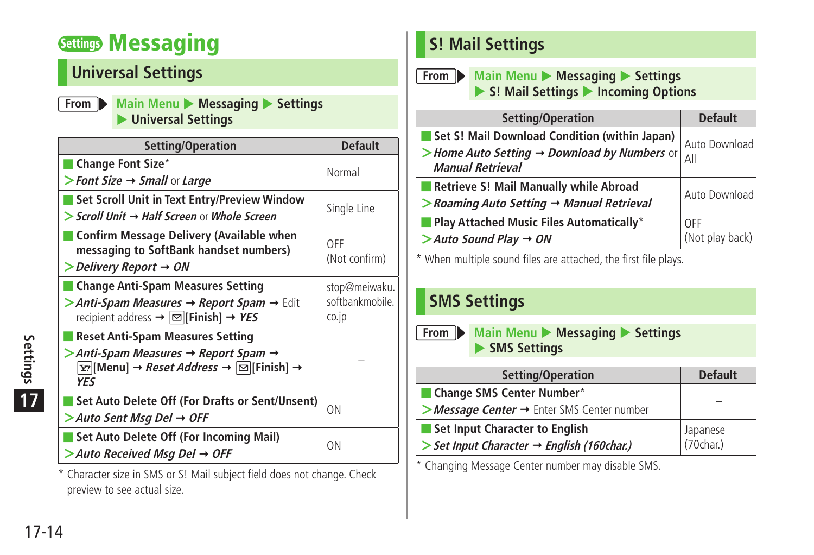# <span id="page-13-0"></span>**Settings Messaging**

## **Universal Settings**

| From Main Menu Messaging Settings |
|-----------------------------------|
| ▶ Universal Settings              |

| Setting/Operation                                                                                                                                          | <b>Default</b>           |
|------------------------------------------------------------------------------------------------------------------------------------------------------------|--------------------------|
| Change Font Size*                                                                                                                                          | Normal                   |
| > Font Size $\rightarrow$ Small or Large                                                                                                                   |                          |
| Set Scroll Unit in Text Entry/Preview Window                                                                                                               | Single Line              |
| > Scroll Unit → Half Screen or Whole Screen                                                                                                                |                          |
| Confirm Message Delivery (Available when<br>messaging to SoftBank handset numbers)<br>Delivery Report $\rightarrow$ ON                                     | OFF<br>(Not confirm)     |
| <b>Change Anti-Spam Measures Setting</b>                                                                                                                   | stop@meiwaku.            |
| > Anti-Spam Measures $\rightarrow$ Report Spam $\rightarrow$ Edit<br>recipient address $\rightarrow \boxed{\infty}$ [Finish] $\rightarrow$ YES             | softbankmobile.<br>co.jp |
| <b>Reset Anti-Spam Measures Setting</b>                                                                                                                    |                          |
| > Anti-Spam Measures → Report Spam →<br>$\overline{Y}$ [Menu] $\rightarrow$ <i>Reset Address</i> $\rightarrow \boxed{\odot}$ [Finish] $\rightarrow$<br>YES |                          |
| Set Auto Delete Off (For Drafts or Sent/Unsent)                                                                                                            | ON                       |
| $>$ Auto Sent Msg Del $\rightarrow$ OFF                                                                                                                    |                          |
| Set Auto Delete Off (For Incoming Mail)<br>$>$ Auto Received Msg Del $\rightarrow$ OFF                                                                     | ON                       |

\* Character size in SMS or S! Mail subject field does not change. Check preview to see actual size.

#### **S! Mail Settings**

**From Main Menu Messaging > Settings** ▶ S! Mail Settings ▶ Incoming Options

| Setting/Operation                                                                   | <b>Default</b>  |
|-------------------------------------------------------------------------------------|-----------------|
| Set S! Mail Download Condition (within Japan)                                       | Auto Download   |
| > Home Auto Setting $\rightarrow$ Download by Numbers or<br><b>Manual Retrieval</b> | All             |
| Retrieve S! Mail Manually while Abroad                                              | Auto Download   |
| $\geq$ Roaming Auto Setting $\rightarrow$ Manual Retrieval                          |                 |
| <b>Play Attached Music Files Automatically*</b>                                     | OFF             |
| $>$ Auto Sound Play $\rightarrow$ ON                                                | (Not play back) |

\* When multiple sound files are attached, the first file plays.

## **SMS Settings**

**From Main Menu > Messaging > Settings SMS Settings** 

| Setting/Operation                           | <b>Default</b> |  |
|---------------------------------------------|----------------|--|
| Change SMS Center Number*<br>ı.             |                |  |
| >Message Center → Enter SMS Center number   |                |  |
| <b>Set Input Character to English</b><br>ı. | Japanese       |  |
| > Set Input Character → English (160char.)  | (70char.)      |  |

\* Changing Message Center number may disable SMS.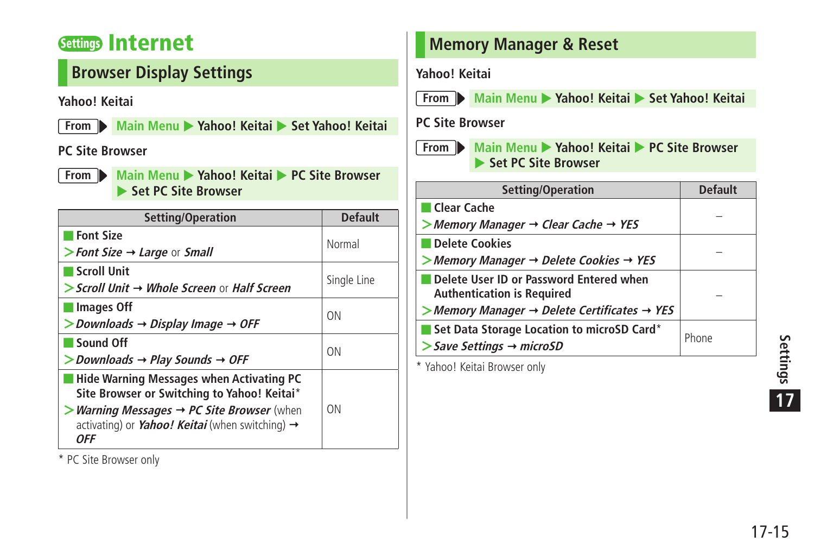#### <span id="page-14-0"></span>**Settings Internet**

#### **Browser Display Settings**

#### **Yahoo! Keitai**

**From** Main Menu > Yahoo! Keitai > Set Yahoo! Keitai

#### **PC Site Browser**

**From Main Menu Xahoo! Keitai <b>D** PC Site Browser **Set PC Site Browser** 

| Setting/Operation                                                                                                                            | <b>Default</b> |
|----------------------------------------------------------------------------------------------------------------------------------------------|----------------|
| <b>Font Size</b><br>> Font Size $\rightarrow$ Large or Small                                                                                 | Normal         |
| <b>Scroll Unit</b>                                                                                                                           |                |
| > Scroll Unit → Whole Screen or Half Screen                                                                                                  | Single Line    |
| Images Off<br>$>$ Downloads $\rightarrow$ Display Image $\rightarrow$ OFF                                                                    | <b>ON</b>      |
| Sound Off<br>$>$ Downloads $\rightarrow$ Play Sounds $\rightarrow$ OFF                                                                       | <b>ON</b>      |
| <b>Hide Warning Messages when Activating PC</b><br>Site Browser or Switching to Yahoo! Keitai*                                               |                |
| $>$ Warning Messages $\rightarrow$ PC Site Browser (when<br>activating) or <i>Yahoo! Keitai</i> (when switching) $\rightarrow$<br><b>OFF</b> | ΩN             |

\* PC Site Browser only

#### **Memory Manager & Reset**

#### **Yahoo! Keitai**

**From Main Menu Xahoo! Keitai • Set Yahoo! Keitai** 

#### **PC Site Browser**



**From Main Menu Mahoo! Keitai MPC Site Browser ▶ Set PC Site Browser** 

| Setting/Operation                                                            | <b>Default</b> |  |
|------------------------------------------------------------------------------|----------------|--|
| Clear Cache                                                                  |                |  |
| $>$ Memory Manager $\rightarrow$ Clear Cache $\rightarrow$ YES               |                |  |
| Delete Cookies                                                               |                |  |
| > Memory Manager $\rightarrow$ Delete Cookies $\rightarrow$ YES              |                |  |
| Delete User ID or Password Entered when<br><b>Authentication is Required</b> |                |  |
| $>$ Memory Manager $\rightarrow$ Delete Certificates $\rightarrow$ YES       |                |  |
| Set Data Storage Location to microSD Card*                                   | Phone          |  |
| $\gt$ Save Settings $\rightarrow$ microSD                                    |                |  |
|                                                                              |                |  |

\* Yahoo! Keitai Browser only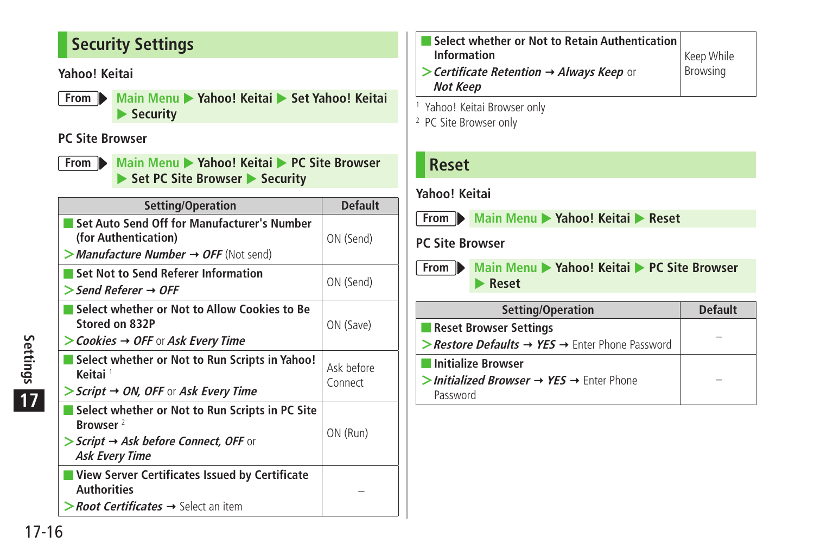#### <span id="page-15-0"></span>**Security Settings**

#### **Yahoo! Keitai**

**From Main Menu Xahoo! Keitai • Set Yahoo! Keitai Security** 

#### **PC Site Browser**

**From Main Menu > Yahoo! Keitai > PC Site Browser** ▶ Set PC Site Browser ▶ Security

|                             | Setting/Operation                                                                                                                                                    | <b>Default</b>        |
|-----------------------------|----------------------------------------------------------------------------------------------------------------------------------------------------------------------|-----------------------|
|                             | Set Auto Send Off for Manufacturer's Number<br>(for Authentication)                                                                                                  | ON (Send)             |
|                             | $>$ Manufacture Number $\rightarrow$ OFF (Not send)                                                                                                                  |                       |
|                             | Set Not to Send Referer Information<br>$\triangleright$ Send Referer $\rightarrow$ OFF                                                                               | ON (Send)             |
|                             | Select whether or Not to Allow Cookies to Be<br>Stored on 832P<br>$>$ Cookies $\rightarrow$ OFF or Ask Every Time                                                    | ON (Save)             |
| Settings<br>$\overline{17}$ | Select whether or Not to Run Scripts in Yahoo!<br>Keitai <sup>1</sup><br>$\triangleright$ Script $\rightarrow$ ON, OFF or Ask Every Time                             | Ask before<br>Connect |
|                             | Select whether or Not to Run Scripts in PC Site<br>Browser <sup>2</sup><br>$\triangleright$ Script $\rightarrow$ Ask before Connect, OFF or<br><b>Ask Every Time</b> | ON (Run)              |
|                             | View Server Certificates Issued by Certificate<br><b>Authorities</b><br>$\triangleright$ <i>Root Certificates</i> $\rightarrow$ Select an item                       |                       |
| $17 - 16$                   |                                                                                                                                                                      |                       |

- **Select whether or Not to Retain Authentication Information >Certificate Retention Always Keep** or **Not Keep** Keep While Browsing
- 1 Yahoo! Keitai Browser only
- 2 PC Site Browser only

#### **Reset**

#### **Yahoo! Keitai**

**From Main Menu Xahoo! Keitai Reset** 

#### **PC Site Browser**

**From Main Menu Mahoo! Keitai MPC Site Browser** X **Reset**

| Setting/Operation                                                       | <b>Default</b> |
|-------------------------------------------------------------------------|----------------|
| Reset Browser Settings                                                  |                |
| > Restore Defaults $\rightarrow$ YES $\rightarrow$ Enter Phone Password |                |
| Initialize Browser                                                      |                |
| >Initialized Browser $\rightarrow$ YES $\rightarrow$ Enter Phone        |                |
| Password                                                                |                |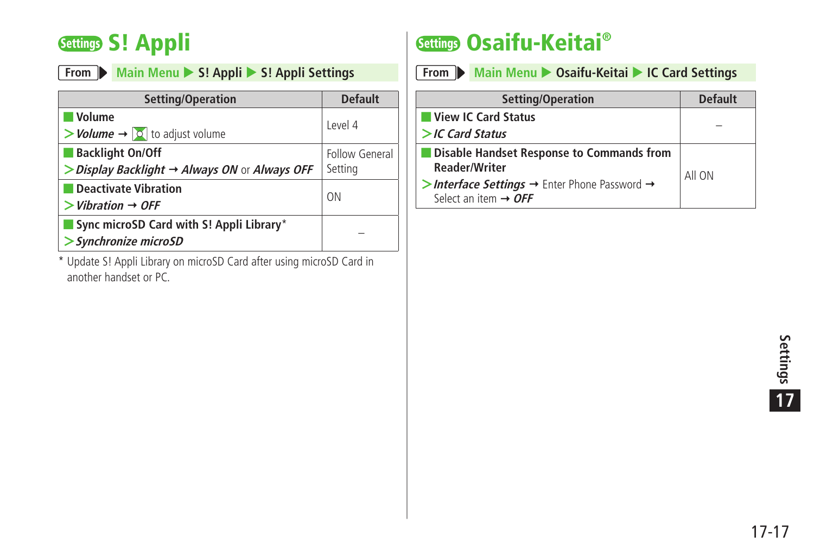# <span id="page-16-0"></span>**Settings S! Appli**

|  |  |  | From Main Menu > S! Appli > S! Appli Settings |
|--|--|--|-----------------------------------------------|
|--|--|--|-----------------------------------------------|

| Setting/Operation                                                                                   | <b>Default</b>            |  |
|-----------------------------------------------------------------------------------------------------|---------------------------|--|
| <b>Volume</b><br>$>$ <i>Volume</i> $\rightarrow$ $\circ$ to adjust volume                           | Level 4                   |  |
| <b>Backlight On/Off</b><br>$\triangleright$ Display Backlight $\rightarrow$ Always ON or Always OFF | Follow General<br>Setting |  |
| Deactivate Vibration<br>$>$ Vibration $\rightarrow$ OFF                                             | ON                        |  |
| Sync microSD Card with S! Appli Library*<br>> Synchronize microSD                                   |                           |  |

\* Update S! Appli Library on microSD Card after using microSD Card in another handset or PC.

# **Settings Osaifu-Keitai®**

|  | From Main Menu > Osaifu-Keitai > IC Card Settings |
|--|---------------------------------------------------|
|  |                                                   |

| Setting/Operation                                                                                        | Default |
|----------------------------------------------------------------------------------------------------------|---------|
| View IC Card Status                                                                                      |         |
| $>$ IC Card Status                                                                                       |         |
| Disable Handset Response to Commands from<br><b>Reader/Writer</b>                                        | All ON  |
| >Interface Settings $\rightarrow$ Enter Phone Password $\rightarrow$<br>Select an item $\rightarrow$ OFF |         |